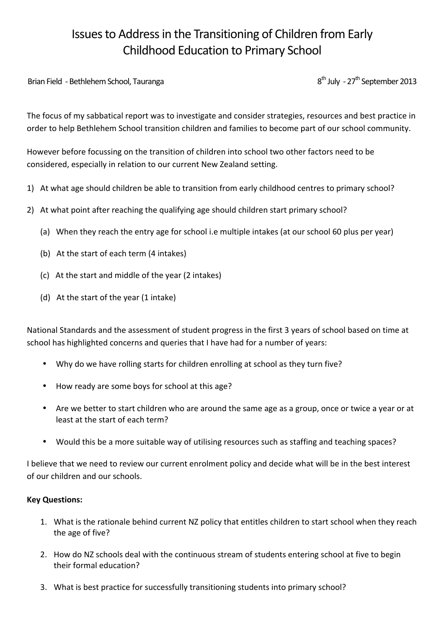# Issues to Address in the Transitioning of Children from Early Childhood Education to Primary School

Brian!Field!!+ BethlehemSchool,!Tauranga!!!!!!!!!!!!!!!!!!!!!!!!!!!!!!!!!!!!!!!!!!!!!!!!!!!!!!!!!!!!!!!!!!!!!!!!!!!!!!!!!!!!!!!!!!!!!8th July!!+ 27th September!2013

The focus of my sabbatical report was to investigate and consider strategies, resources and best practice in order to help Bethlehem School transition children and families to become part of our school community.

However before focussing on the transition of children into school two other factors need to be considered, especially in relation to our current New Zealand setting.

- 1) At what age should children be able to transition from early childhood centres to primary school?
- 2) At what point after reaching the qualifying age should children start primary school?
	- (a) When they reach the entry age for school i.e multiple intakes (at our school 60 plus per year)
	- (b) At the start of each term (4 intakes)
	- (c) At the start and middle of the year (2 intakes)
	- (d) At the start of the year  $(1$  intake)

National Standards and the assessment of student progress in the first 3 years of school based on time at school has highlighted concerns and queries that I have had for a number of years:

- Why do we have rolling starts for children enrolling at school as they turn five?
- How ready are some boys for school at this age?
- Are we better to start children who are around the same age as a group, once or twice a year or at least at the start of each term?
- Would this be a more suitable way of utilising resources such as staffing and teaching spaces?

I believe that we need to review our current enrolment policy and decide what will be in the best interest of our children and our schools.

#### **Key\$Questions:**

- 1. What is the rationale behind current NZ policy that entitles children to start school when they reach the age of five?
- 2. How do NZ schools deal with the continuous stream of students entering school at five to begin their formal education?
- 3. What is best practice for successfully transitioning students into primary school?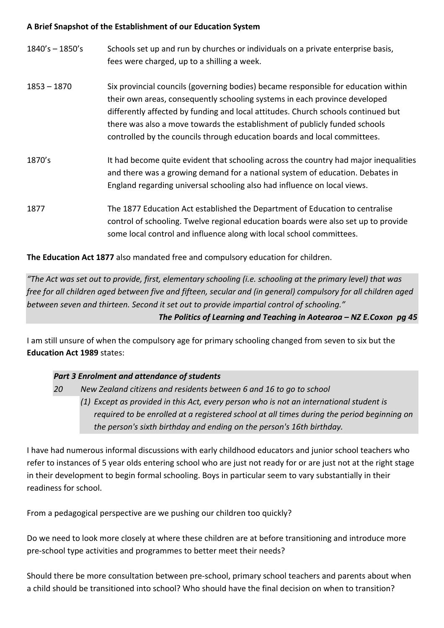## A Brief Snapshot of the Establishment of our Education System

| $1840's - 1850's$ | Schools set up and run by churches or individuals on a private enterprise basis,<br>fees were charged, up to a shilling a week.                                                                                                                                                                                                                                                                                  |
|-------------------|------------------------------------------------------------------------------------------------------------------------------------------------------------------------------------------------------------------------------------------------------------------------------------------------------------------------------------------------------------------------------------------------------------------|
| $1853 - 1870$     | Six provincial councils (governing bodies) became responsible for education within<br>their own areas, consequently schooling systems in each province developed<br>differently affected by funding and local attitudes. Church schools continued but<br>there was also a move towards the establishment of publicly funded schools<br>controlled by the councils through education boards and local committees. |
| 1870's            | It had become quite evident that schooling across the country had major inequalities<br>and there was a growing demand for a national system of education. Debates in<br>England regarding universal schooling also had influence on local views.                                                                                                                                                                |
| 1877              | The 1877 Education Act established the Department of Education to centralise<br>control of schooling. Twelve regional education boards were also set up to provide<br>some local control and influence along with local school committees.                                                                                                                                                                       |

**The Education Act 1877** also mandated free and compulsory education for children.

*"The%Act%was%set%out%to%provide,%first,%elementary%schooling%(i.e.%schooling%at%the%primary%level)%that%was% free for all children aged between five and fifteen, secular and (in general) compulsory for all children aged* between seven and thirteen. Second it set out to provide impartial control of schooling." *The Politics of Learning and Teaching in Aotearoa – NZ E.Coxon pg 45* 

I am still unsure of when the compulsory age for primary schooling changed from seven to six but the **Education Act 1989** states:

# **Part 3 Enrolment and attendance of students**

*20% New%Zealand%citizens%and%residents%between%6%and%16%to%go%to%school (1) Except as provided in this Act, every person who is not an international student is* required to be enrolled at a registered school at all times during the period beginning on the person's sixth birthday and ending on the person's 16th birthday.

I have had numerous informal discussions with early childhood educators and junior school teachers who refer to instances of 5 year olds entering school who are just not ready for or are just not at the right stage in their development to begin formal schooling. Boys in particular seem to vary substantially in their readiness for school.

From a pedagogical perspective are we pushing our children too quickly?

Do we need to look more closely at where these children are at before transitioning and introduce more pre-school type activities and programmes to better meet their needs?

Should there be more consultation between pre-school, primary school teachers and parents about when a child should be transitioned into school? Who should have the final decision on when to transition?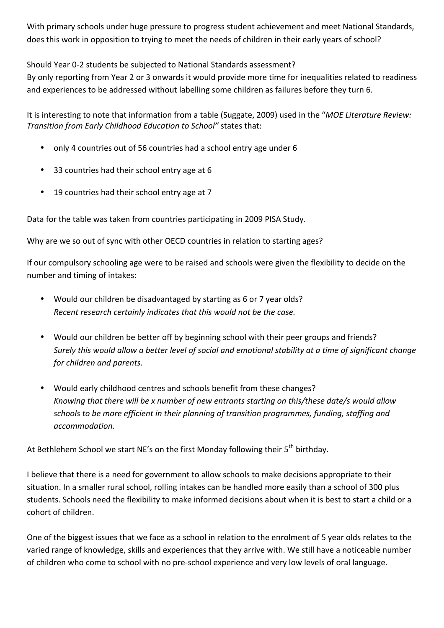With primary schools under huge pressure to progress student achievement and meet National Standards, does this work in opposition to trying to meet the needs of children in their early years of school?

Should Year 0-2 students be subjected to National Standards assessment?

By only reporting from Year 2 or 3 onwards it would provide more time for inequalities related to readiness and experiences to be addressed without labelling some children as failures before they turn 6.

It is interesting to note that information from a table (Suggate, 2009) used in the "*MOE Literature Review: Transition from Early Childhood Education to School"* states that:

- only 4 countries out of 56 countries had a school entry age under 6
- 33 countries had their school entry age at 6
- 19 countries had their school entry age at 7

Data for the table was taken from countries participating in 2009 PISA Study.

Why are we so out of sync with other OECD countries in relation to starting ages?

If our compulsory schooling age were to be raised and schools were given the flexibility to decide on the number and timing of intakes:

- Would our children be disadvantaged by starting as 6 or 7 year olds? *Recent research certainly indicates that this would not be the case.*
- Would our children be better off by beginning school with their peer groups and friends? *Surely this would allow a better level of social and emotional stability at a time of significant change* for children and parents.
- Would early childhood centres and schools benefit from these changes? *Knowing%that%there%will%be%x%number%of%new%entrants%starting on%this/these date/s would%allow%* schools to be more efficient in their planning of transition programmes, funding, staffing and *accommodation.%*

At Bethlehem School we start NE's on the first Monday following their 5<sup>th</sup> birthday.

I believe that there is a need for government to allow schools to make decisions appropriate to their situation. In a smaller rural school, rolling intakes can be handled more easily than a school of 300 plus students. Schools need the flexibility to make informed decisions about when it is best to start a child or a cohort of children.

One of the biggest issues that we face as a school in relation to the enrolment of 5 year olds relates to the varied range of knowledge, skills and experiences that they arrive with. We still have a noticeable number of children who come to school with no pre-school experience and very low levels of oral language.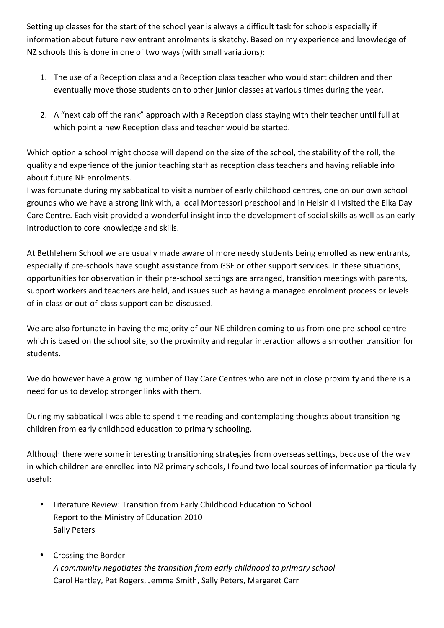Setting up classes for the start of the school year is always a difficult task for schools especially if information about future new entrant enrolments is sketchy. Based on my experience and knowledge of NZ schools this is done in one of two ways (with small variations):

- 1. The use of a Reception class and a Reception class teacher who would start children and then eventually move those students on to other junior classes at various times during the year.
- 2. A "next cab off the rank" approach with a Reception class staying with their teacher until full at which point a new Reception class and teacher would be started.

Which option a school might choose will depend on the size of the school, the stability of the roll, the quality and experience of the junior teaching staff as reception class teachers and having reliable info about future NE enrolments.

I was fortunate during my sabbatical to visit a number of early childhood centres, one on our own school grounds who we have a strong link with, a local Montessori preschool and in Helsinki I visited the Elka Day Care Centre. Each visit provided a wonderful insight into the development of social skills as well as an early introduction to core knowledge and skills.

At Bethlehem School we are usually made aware of more needy students being enrolled as new entrants, especially if pre-schools have sought assistance from GSE or other support services. In these situations, opportunities for observation in their pre-school settings are arranged, transition meetings with parents, support workers and teachers are held, and issues such as having a managed enrolment process or levels of in-class or out-of-class support can be discussed.

We are also fortunate in having the majority of our NE children coming to us from one pre-school centre which is based on the school site, so the proximity and regular interaction allows a smoother transition for students.

We do however have a growing number of Day Care Centres who are not in close proximity and there is a need for us to develop stronger links with them.

During my sabbatical I was able to spend time reading and contemplating thoughts about transitioning children from early childhood education to primary schooling.

Although there were some interesting transitioning strategies from overseas settings, because of the way in which children are enrolled into NZ primary schools, I found two local sources of information particularly useful:

- Literature Review: Transition from Early Childhood Education to School Report to the Ministry of Education 2010 Sally Peters
- Crossing the Border A community negotiates the transition from early childhood to primary school Carol Hartley, Pat Rogers, Jemma Smith, Sally Peters, Margaret Carr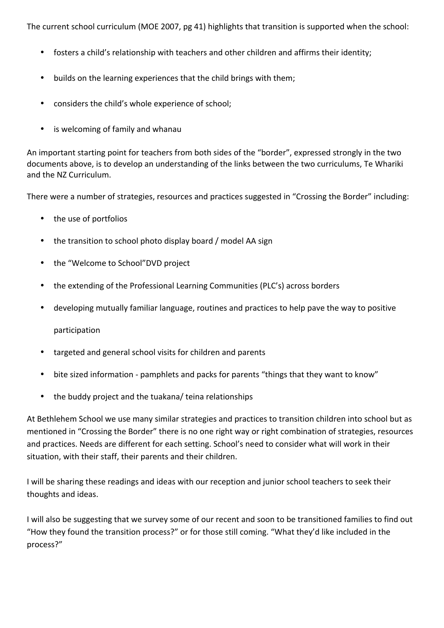The current school curriculum (MOE 2007, pg 41) highlights that transition is supported when the school:

- fosters a child's relationship with teachers and other children and affirms their identity;
- builds on the learning experiences that the child brings with them;
- considers the child's whole experience of school;
- is welcoming of family and whanau

An important starting point for teachers from both sides of the "border", expressed strongly in the two but the documents above, is to develop an understanding of the links between the two curriculums, Te Whariki and the NZ Curriculum.

There were a number of strategies, resources and practices suggested in "Crossing the Border" including:

- the use of portfolios
- the transition to school photo display board / model AA sign
- the "Welcome to School"DVD project
- the extending of the Professional Learning Communities (PLC's) across borders
- developing mutually familiar language, routines and practices to help pave the way to positive

participation

- targeted and general school visits for children and parents
- bite sized information pamphlets and packs for parents "things that they want to know"
- the buddy project and the tuakana/ teina relationships

At Bethlehem School we use many similar strategies and practices to transition children into school but as mentioned in "Crossing the Border" there is no one right way or right combination of strategies, resources and practices. Needs are different for each setting. School's need to consider what will work in their situation, with their staff, their parents and their children.

I will be sharing these readings and ideas with our reception and junior school teachers to seek their thoughts and ideas.

I will also be suggesting that we survey some of our recent and soon to be transitioned families to find out "How they found the transition process?" or for those still coming. "What they'd like included in the process?"